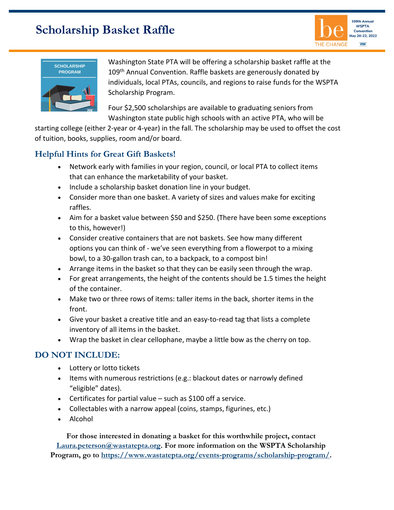## **Scholarship Basket Raffle**





Washington State PTA will be offering a scholarship basket raffle at the 109<sup>th</sup> Annual Convention. Raffle baskets are generously donated by individuals, local PTAs, councils, and regions to raise funds for the WSPTA Scholarship Program.

Four \$2,500 scholarships are available to graduating seniors from Washington state public high schools with an active PTA, who will be

starting college (either 2-year or 4-year) in the fall. The scholarship may be used to offset the cost of tuition, books, supplies, room and/or board.

## **Helpful Hints for Great Gift Baskets!**

- Network early with families in your region, council, or local PTA to collect items that can enhance the marketability of your basket.
- Include a scholarship basket donation line in your budget.
- Consider more than one basket. A variety of sizes and values make for exciting raffles.
- Aim for a basket value between \$50 and \$250. (There have been some exceptions to this, however!)
- Consider creative containers that are not baskets. See how many different options you can think of - we've seen everything from a flowerpot to a mixing bowl, to a 30-gallon trash can, to a backpack, to a compost bin!
- Arrange items in the basket so that they can be easily seen through the wrap.
- For great arrangements, the height of the contents should be 1.5 times the height of the container.
- Make two or three rows of items: taller items in the back, shorter items in the front.
- Give your basket a creative title and an easy-to-read tag that lists a complete inventory of all items in the basket.
- Wrap the basket in clear cellophane, maybe a little bow as the cherry on top.

## **DO NOT INCLUDE:**

- Lottery or lotto tickets
- Items with numerous restrictions (e.g.: blackout dates or narrowly defined "eligible" dates).
- Certificates for partial value such as \$100 off a service.
- Collectables with a narrow appeal (coins, stamps, figurines, etc.)
- Alcohol

**For those interested in donating a basket for this worthwhile project, contact [Laura.peterson@wastatepta.org.](mailto:Laura.peterson@wastatepta.org) For more information on the WSPTA Scholarship Program, go to [https://www.wastatepta.org/events-programs/scholarship-program/.](https://www.wastatepta.org/events-programs/scholarship-program/)**